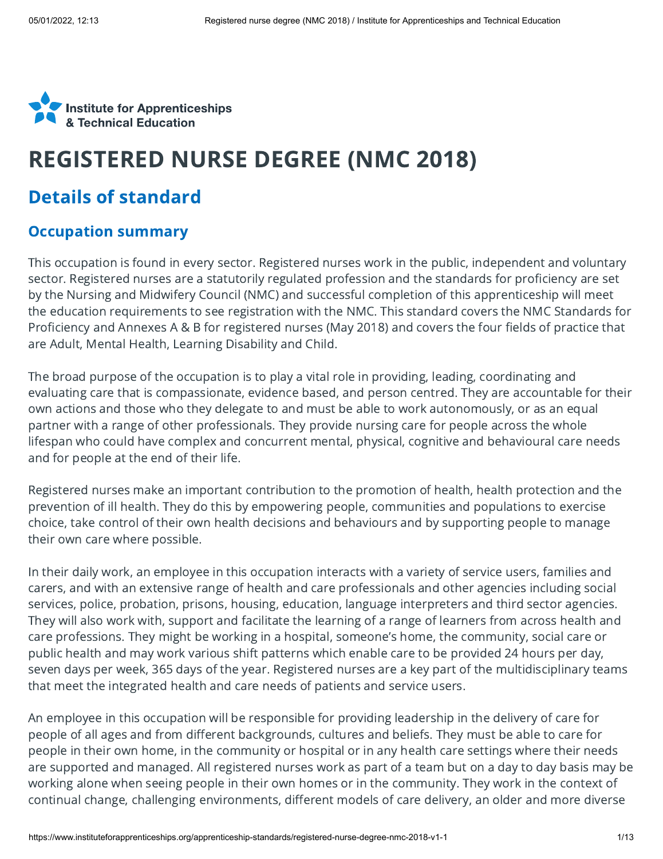

# REGISTERED NURSE DEGREE (NMC 2018)

## Details of standard

#### Occupation summary

This occupation is found in every sector. Registered nurses work in the public, independent and voluntary sector. Registered nurses are a statutorily regulated profession and the standards for proficiency are set by the Nursing and Midwifery Council (NMC) and successful completion of this apprenticeship will meet the education requirements to see registration with the NMC. This standard covers the NMC Standards for Proficiency and Annexes A & B for registered nurses (May 2018) and covers the four fields of practice that are Adult, Mental Health, Learning Disability and Child.

The broad purpose of the occupation is to play a vital role in providing, leading, coordinating and evaluating care that is compassionate, evidence based, and person centred. They are accountable for their own actions and those who they delegate to and must be able to work autonomously, or as an equal partner with a range of other professionals. They provide nursing care for people across the whole lifespan who could have complex and concurrent mental, physical, cognitive and behavioural care needs and for people at the end of their life.

Registered nurses make an important contribution to the promotion of health, health protection and the prevention of ill health. They do this by empowering people, communities and populations to exercise choice, take control of their own health decisions and behaviours and by supporting people to manage their own care where possible.

In their daily work, an employee in this occupation interacts with a variety of service users, families and carers, and with an extensive range of health and care professionals and other agencies including social services, police, probation, prisons, housing, education, language interpreters and third sector agencies. They will also work with, support and facilitate the learning of a range of learners from across health and care professions. They might be working in a hospital, someone's home, the community, social care or public health and may work various shift patterns which enable care to be provided 24 hours per day, seven days per week, 365 days of the year. Registered nurses are a key part of the multidisciplinary teams that meet the integrated health and care needs of patients and service users.

An employee in this occupation will be responsible for providing leadership in the delivery of care for people of all ages and from different backgrounds, cultures and beliefs. They must be able to care for people in their own home, in the community or hospital or in any health care settings where their needs are supported and managed. All registered nurses work as part of a team but on a day to day basis may be working alone when seeing people in their own homes or in the community. They work in the context of continual change, challenging environments, different models of care delivery, an older and more diverse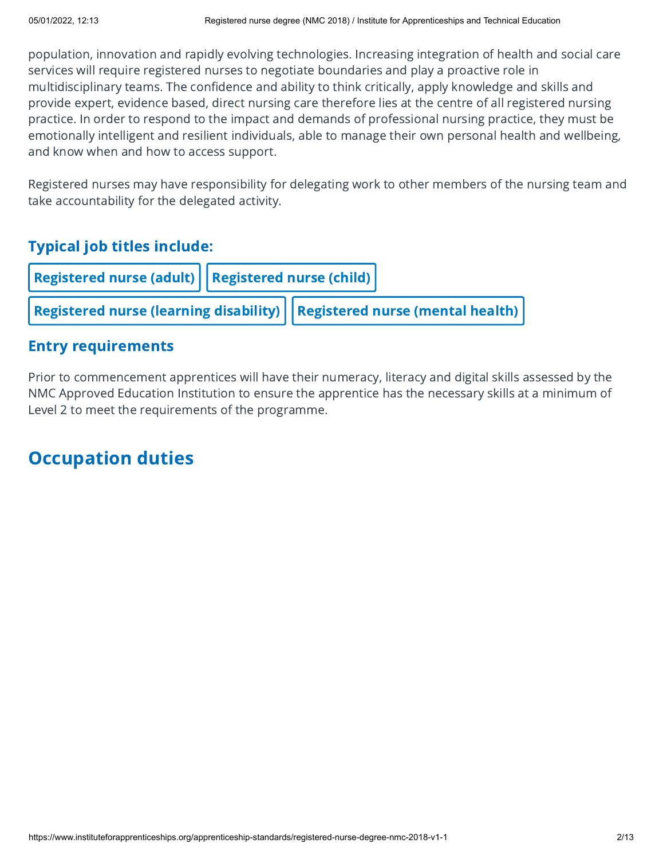population, innovation and rapidly evolving technologies. Increasing integration of health and social care services will require registered nurses to negotiate boundaries and play a proactive role in multidisciplinary teams. The confidence and ability to think critically, apply knowledge and skills and provide expert, evidence based, direct nursing care therefore lies at the centre of all registered nursing practice. In order to respond to the impact and demands of professional nursing practice, they must be emotionally intelligent and resilient individuals, able to manage their own personal health and wellbeing, and know when and how to access support.

Registered nurses may have responsibility for delegating work to other members of the nursing team and take accountability for the delegated activity.

### Typical job titles include:

|                                                                                                           | Registered nurse (adult) $ $ Registered nurse (child) $ $ |  |  |
|-----------------------------------------------------------------------------------------------------------|-----------------------------------------------------------|--|--|
| $\big $ Registered nurse (learning disability) $\big \big $ Registered nurse (mental health) $\big \big $ |                                                           |  |  |

#### Entry requirements

Prior to commencement apprentices will have their numeracy, literacy and digital skills assessed by the NMC Approved Education Institution to ensure the apprentice has the necessary skills at a minimum of Level 2 to meet the requirements of the programme.

# Occupation duties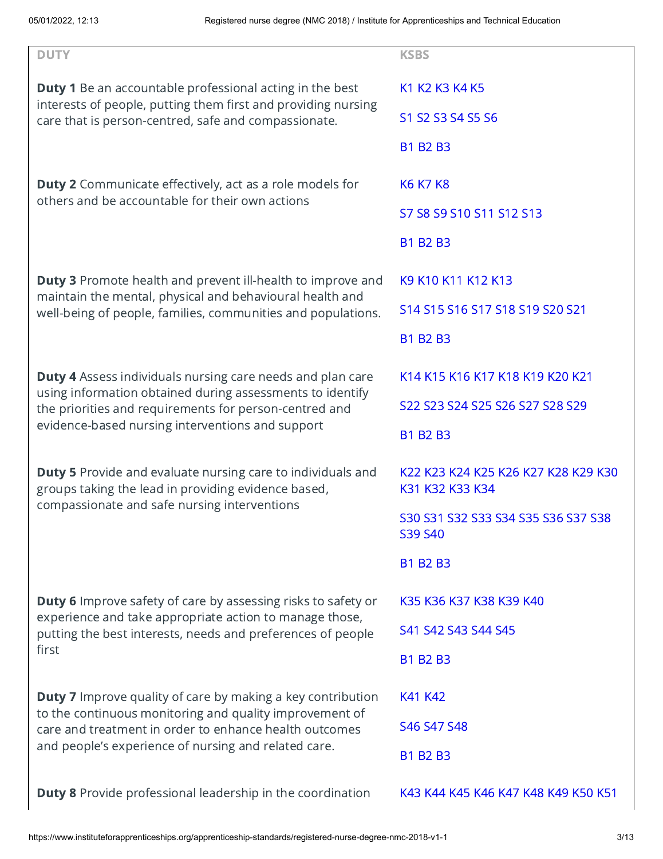| <b>DUTY</b>                                                                                                                      | <b>KSBS</b>                                            |  |
|----------------------------------------------------------------------------------------------------------------------------------|--------------------------------------------------------|--|
| <b>Duty 1</b> Be an accountable professional acting in the best<br>interests of people, putting them first and providing nursing | K1 K2 K3 K4 K5                                         |  |
| care that is person-centred, safe and compassionate.                                                                             | S1 S2 S3 S4 S5 S6                                      |  |
|                                                                                                                                  | <b>B1 B2 B3</b>                                        |  |
| <b>Duty 2</b> Communicate effectively, act as a role models for                                                                  | <b>K6 K7 K8</b>                                        |  |
| others and be accountable for their own actions                                                                                  | S7 S8 S9 S10 S11 S12 S13                               |  |
|                                                                                                                                  | <b>B1 B2 B3</b>                                        |  |
| <b>Duty 3</b> Promote health and prevent ill-health to improve and<br>maintain the mental, physical and behavioural health and   | K9 K10 K11 K12 K13                                     |  |
| well-being of people, families, communities and populations.                                                                     | S14 S15 S16 S17 S18 S19 S20 S21                        |  |
|                                                                                                                                  | <b>B1 B2 B3</b>                                        |  |
| <b>Duty 4</b> Assess individuals nursing care needs and plan care                                                                | K14 K15 K16 K17 K18 K19 K20 K21                        |  |
| using information obtained during assessments to identify<br>the priorities and requirements for person-centred and              | S22 S23 S24 S25 S26 S27 S28 S29                        |  |
| evidence-based nursing interventions and support                                                                                 | <b>B1 B2 B3</b>                                        |  |
| <b>Duty 5</b> Provide and evaluate nursing care to individuals and<br>groups taking the lead in providing evidence based,        | K22 K23 K24 K25 K26 K27 K28 K29 K30<br>K31 K32 K33 K34 |  |
| compassionate and safe nursing interventions                                                                                     | S30 S31 S32 S33 S34 S35 S36 S37 S38<br>S39 S40         |  |
|                                                                                                                                  | <b>B1 B2 B3</b>                                        |  |
| <b>Duty 6</b> Improve safety of care by assessing risks to safety or                                                             | K35 K36 K37 K38 K39 K40                                |  |
| experience and take appropriate action to manage those,<br>putting the best interests, needs and preferences of people           | S41 S42 S43 S44 S45                                    |  |
| first                                                                                                                            | <b>B1 B2 B3</b>                                        |  |
| <b>Duty 7</b> Improve quality of care by making a key contribution                                                               | K41 K42                                                |  |
| to the continuous monitoring and quality improvement of<br>care and treatment in order to enhance health outcomes                | S46 S47 S48                                            |  |
| and people's experience of nursing and related care.                                                                             | <b>B1 B2 B3</b>                                        |  |
| <b>Duty 8</b> Provide professional leadership in the coordination                                                                | K43 K44 K45 K46 K47 K48 K49 K50 K51                    |  |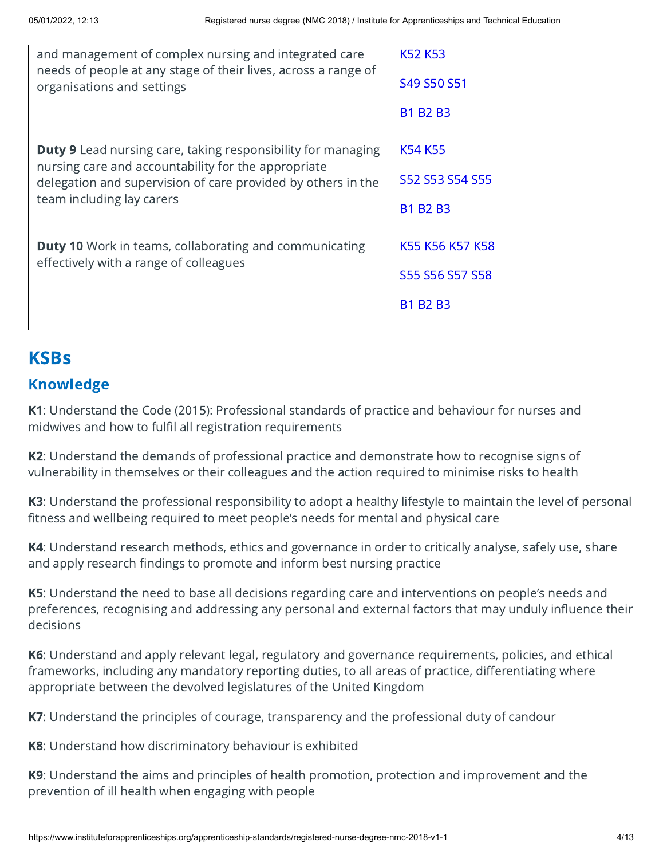# KSBs

#### Knowledge

K1: Understand the Code (2015): Professional standards of practice and behaviour for nurses and midwives and how to fulfil all registration requirements

K2: Understand the demands of professional practice and demonstrate how to recognise signs of vulnerability in themselves or their colleagues and the action required to minimise risks to health

K3: Understand the professional responsibility to adopt a healthy lifestyle to maintain the level of personal fitness and wellbeing required to meet people's needs for mental and physical care

K4: Understand research methods, ethics and governance in order to critically analyse, safely use, share and apply research findings to promote and inform best nursing practice

K5: Understand the need to base all decisions regarding care and interventions on people's needs and preferences, recognising and addressing any personal and external factors that may unduly influence their decisions

K6: Understand and apply relevant legal, regulatory and governance requirements, policies, and ethical frameworks, including any mandatory reporting duties, to all areas of practice, differentiating where appropriate between the devolved legislatures of the United Kingdom

K7: Understand the principles of courage, transparency and the professional duty of candour

K8: Understand how discriminatory behaviour is exhibited

K9: Understand the aims and principles of health promotion, protection and improvement and the prevention of ill health when engaging with people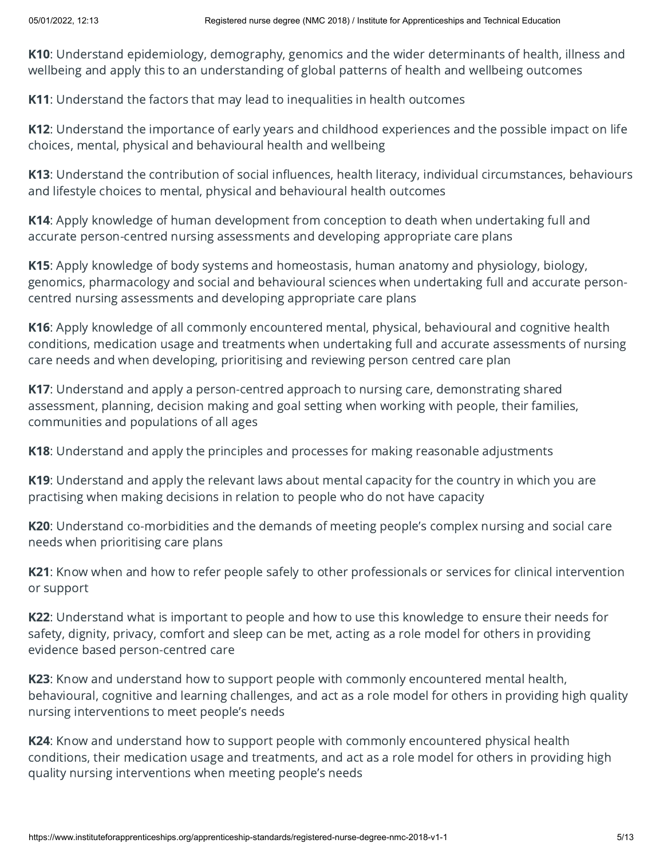K10: Understand epidemiology, demography, genomics and the wider determinants of health, illness and wellbeing and apply this to an understanding of global patterns of health and wellbeing outcomes

K11: Understand the factors that may lead to inequalities in health outcomes

K12: Understand the importance of early years and childhood experiences and the possible impact on life choices, mental, physical and behavioural health and wellbeing

K13: Understand the contribution of social influences, health literacy, individual circumstances, behaviours and lifestyle choices to mental, physical and behavioural health outcomes

K14: Apply knowledge of human development from conception to death when undertaking full and accurate person-centred nursing assessments and developing appropriate care plans

K15: Apply knowledge of body systems and homeostasis, human anatomy and physiology, biology, genomics, pharmacology and social and behavioural sciences when undertaking full and accurate personcentred nursing assessments and developing appropriate care plans

K16: Apply knowledge of all commonly encountered mental, physical, behavioural and cognitive health conditions, medication usage and treatments when undertaking full and accurate assessments of nursing care needs and when developing, prioritising and reviewing person centred care plan

K17: Understand and apply a person-centred approach to nursing care, demonstrating shared assessment, planning, decision making and goal setting when working with people, their families, communities and populations of all ages

K18: Understand and apply the principles and processes for making reasonable adjustments

K19: Understand and apply the relevant laws about mental capacity for the country in which you are practising when making decisions in relation to people who do not have capacity

K20: Understand co-morbidities and the demands of meeting people's complex nursing and social care needs when prioritising care plans

K21: Know when and how to refer people safely to other professionals or services for clinical intervention or support

K22: Understand what is important to people and how to use this knowledge to ensure their needs for safety, dignity, privacy, comfort and sleep can be met, acting as a role model for others in providing evidence based person-centred care

K23: Know and understand how to support people with commonly encountered mental health, behavioural, cognitive and learning challenges, and act as a role model for others in providing high quality nursing interventions to meet people's needs

K24: Know and understand how to support people with commonly encountered physical health conditions, their medication usage and treatments, and act as a role model for others in providing high quality nursing interventions when meeting people's needs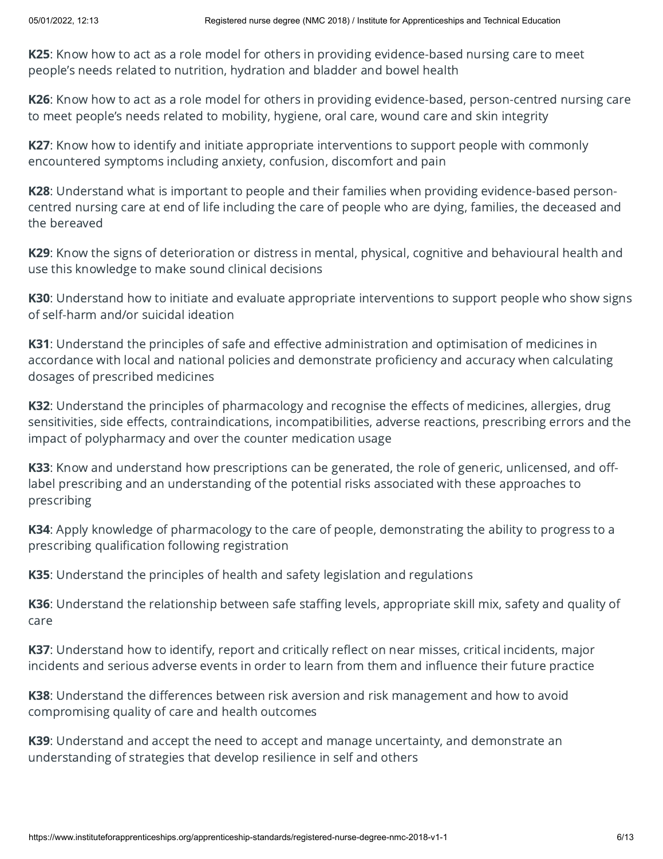K25: Know how to act as a role model for others in providing evidence-based nursing care to meet people's needs related to nutrition, hydration and bladder and bowel health

K26: Know how to act as a role model for others in providing evidence-based, person-centred nursing care to meet people's needs related to mobility, hygiene, oral care, wound care and skin integrity

K27: Know how to identify and initiate appropriate interventions to support people with commonly encountered symptoms including anxiety, confusion, discomfort and pain

K28: Understand what is important to people and their families when providing evidence-based personcentred nursing care at end of life including the care of people who are dying, families, the deceased and the bereaved

K29: Know the signs of deterioration or distress in mental, physical, cognitive and behavioural health and use this knowledge to make sound clinical decisions

K30: Understand how to initiate and evaluate appropriate interventions to support people who show signs of self-harm and/or suicidal ideation

K31: Understand the principles of safe and effective administration and optimisation of medicines in accordance with local and national policies and demonstrate proficiency and accuracy when calculating dosages of prescribed medicines

K32: Understand the principles of pharmacology and recognise the effects of medicines, allergies, drug sensitivities, side effects, contraindications, incompatibilities, adverse reactions, prescribing errors and the impact of polypharmacy and over the counter medication usage

K33: Know and understand how prescriptions can be generated, the role of generic, unlicensed, and offlabel prescribing and an understanding of the potential risks associated with these approaches to prescribing

K34: Apply knowledge of pharmacology to the care of people, demonstrating the ability to progress to a prescribing qualification following registration

K35: Understand the principles of health and safety legislation and regulations

K36: Understand the relationship between safe staffing levels, appropriate skill mix, safety and quality of care

K37: Understand how to identify, report and critically reflect on near misses, critical incidents, major incidents and serious adverse events in order to learn from them and influence their future practice

K38: Understand the differences between risk aversion and risk management and how to avoid compromising quality of care and health outcomes

K39: Understand and accept the need to accept and manage uncertainty, and demonstrate an understanding of strategies that develop resilience in self and others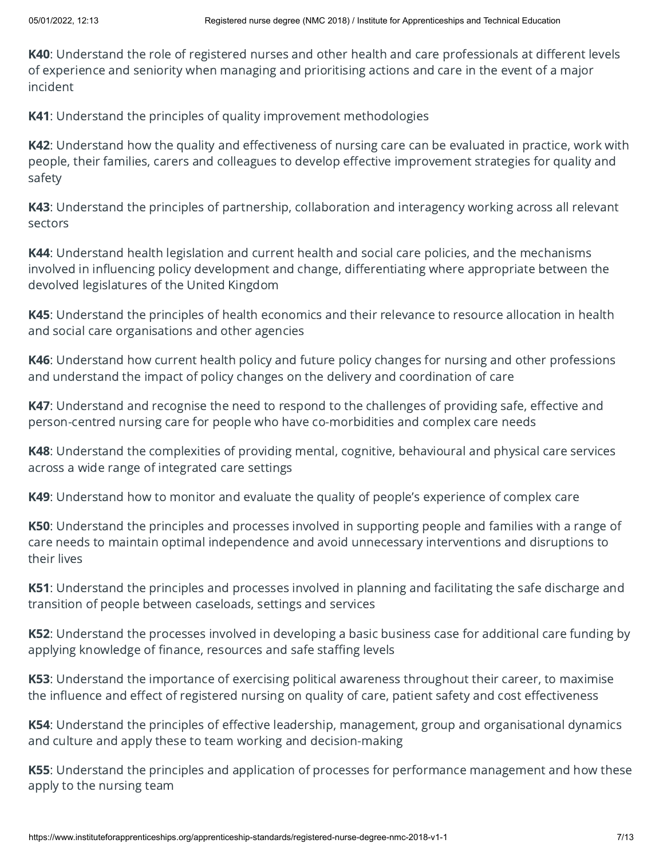K40: Understand the role of registered nurses and other health and care professionals at different levels of experience and seniority when managing and prioritising actions and care in the event of a major incident

K41: Understand the principles of quality improvement methodologies

K42: Understand how the quality and effectiveness of nursing care can be evaluated in practice, work with people, their families, carers and colleagues to develop effective improvement strategies for quality and safety

K43: Understand the principles of partnership, collaboration and interagency working across all relevant sectors

K44: Understand health legislation and current health and social care policies, and the mechanisms involved in influencing policy development and change, differentiating where appropriate between the devolved legislatures of the United Kingdom

K45: Understand the principles of health economics and their relevance to resource allocation in health and social care organisations and other agencies

K46: Understand how current health policy and future policy changes for nursing and other professions and understand the impact of policy changes on the delivery and coordination of care

K47: Understand and recognise the need to respond to the challenges of providing safe, effective and person-centred nursing care for people who have co-morbidities and complex care needs

K48: Understand the complexities of providing mental, cognitive, behavioural and physical care services across a wide range of integrated care settings

K49: Understand how to monitor and evaluate the quality of people's experience of complex care

K50: Understand the principles and processes involved in supporting people and families with a range of care needs to maintain optimal independence and avoid unnecessary interventions and disruptions to their lives

K51: Understand the principles and processes involved in planning and facilitating the safe discharge and transition of people between caseloads, settings and services

K52: Understand the processes involved in developing a basic business case for additional care funding by applying knowledge of finance, resources and safe staffing levels

K53: Understand the importance of exercising political awareness throughout their career, to maximise the influence and effect of registered nursing on quality of care, patient safety and cost effectiveness

K54: Understand the principles of effective leadership, management, group and organisational dynamics and culture and apply these to team working and decision-making

K55: Understand the principles and application of processes for performance management and how these apply to the nursing team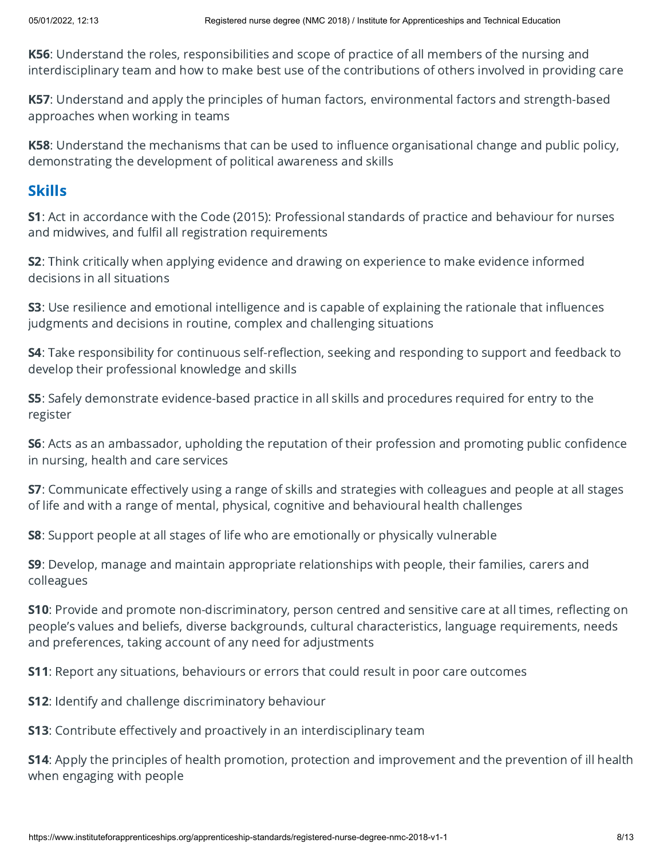K56: Understand the roles, responsibilities and scope of practice of all members of the nursing and interdisciplinary team and how to make best use of the contributions of others involved in providing care

K57: Understand and apply the principles of human factors, environmental factors and strength-based approaches when working in teams

K58: Understand the mechanisms that can be used to influence organisational change and public policy, demonstrating the development of political awareness and skills

#### Skills

S1: Act in accordance with the Code (2015): Professional standards of practice and behaviour for nurses and midwives, and fulfil all registration requirements

S2: Think critically when applying evidence and drawing on experience to make evidence informed decisions in all situations

S3: Use resilience and emotional intelligence and is capable of explaining the rationale that influences judgments and decisions in routine, complex and challenging situations

S4: Take responsibility for continuous self-reflection, seeking and responding to support and feedback to develop their professional knowledge and skills

S5: Safely demonstrate evidence-based practice in all skills and procedures required for entry to the register

S6: Acts as an ambassador, upholding the reputation of their profession and promoting public confidence in nursing, health and care services

S7: Communicate effectively using a range of skills and strategies with colleagues and people at all stages of life and with a range of mental, physical, cognitive and behavioural health challenges

S8: Support people at all stages of life who are emotionally or physically vulnerable

S9: Develop, manage and maintain appropriate relationships with people, their families, carers and colleagues

S10: Provide and promote non-discriminatory, person centred and sensitive care at all times, reflecting on people's values and beliefs, diverse backgrounds, cultural characteristics, language requirements, needs and preferences, taking account of any need for adjustments

S11: Report any situations, behaviours or errors that could result in poor care outcomes

S12: Identify and challenge discriminatory behaviour

S13: Contribute effectively and proactively in an interdisciplinary team

S14: Apply the principles of health promotion, protection and improvement and the prevention of ill health when engaging with people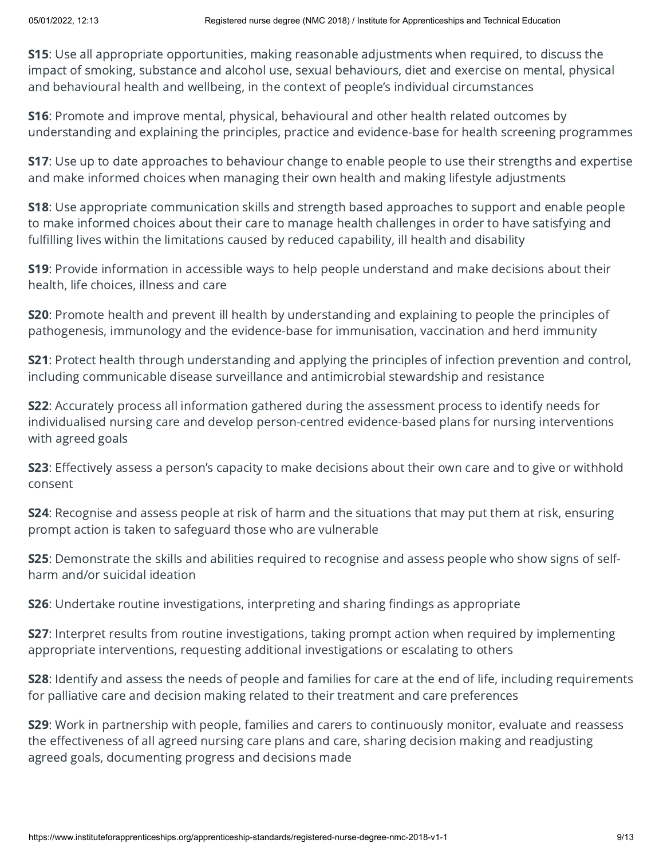S15: Use all appropriate opportunities, making reasonable adjustments when required, to discuss the impact of smoking, substance and alcohol use, sexual behaviours, diet and exercise on mental, physical and behavioural health and wellbeing, in the context of people's individual circumstances

S16: Promote and improve mental, physical, behavioural and other health related outcomes by understanding and explaining the principles, practice and evidence-base for health screening programmes

**S17**: Use up to date approaches to behaviour change to enable people to use their strengths and expertise and make informed choices when managing their own health and making lifestyle adjustments

**S18:** Use appropriate communication skills and strength based approaches to support and enable people to make informed choices about their care to manage health challenges in order to have satisfying and fulfilling lives within the limitations caused by reduced capability, ill health and disability

S19: Provide information in accessible ways to help people understand and make decisions about their health, life choices, illness and care

S20: Promote health and prevent ill health by understanding and explaining to people the principles of pathogenesis, immunology and the evidence-base for immunisation, vaccination and herd immunity

S21: Protect health through understanding and applying the principles of infection prevention and control, including communicable disease surveillance and antimicrobial stewardship and resistance

S22: Accurately process all information gathered during the assessment process to identify needs for individualised nursing care and develop person-centred evidence-based plans for nursing interventions with agreed goals

**S23**: Effectively assess a person's capacity to make decisions about their own care and to give or withhold consent

S24: Recognise and assess people at risk of harm and the situations that may put them at risk, ensuring prompt action is taken to safeguard those who are vulnerable

S25: Demonstrate the skills and abilities required to recognise and assess people who show signs of selfharm and/or suicidal ideation

S26: Undertake routine investigations, interpreting and sharing findings as appropriate

S27: Interpret results from routine investigations, taking prompt action when required by implementing appropriate interventions, requesting additional investigations or escalating to others

S28: Identify and assess the needs of people and families for care at the end of life, including requirements for palliative care and decision making related to their treatment and care preferences

S29: Work in partnership with people, families and carers to continuously monitor, evaluate and reassess the effectiveness of all agreed nursing care plans and care, sharing decision making and readjusting agreed goals, documenting progress and decisions made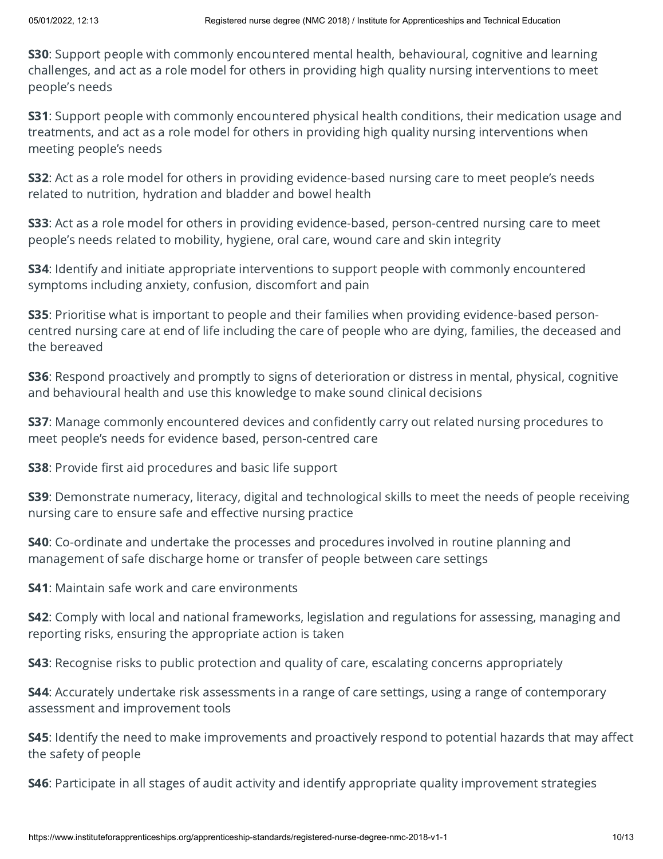S30: Support people with commonly encountered mental health, behavioural, cognitive and learning challenges, and act as a role model for others in providing high quality nursing interventions to meet people's needs

S31: Support people with commonly encountered physical health conditions, their medication usage and treatments, and act as a role model for others in providing high quality nursing interventions when meeting people's needs

S32: Act as a role model for others in providing evidence-based nursing care to meet people's needs related to nutrition, hydration and bladder and bowel health

S33: Act as a role model for others in providing evidence-based, person-centred nursing care to meet people's needs related to mobility, hygiene, oral care, wound care and skin integrity

S34: Identify and initiate appropriate interventions to support people with commonly encountered symptoms including anxiety, confusion, discomfort and pain

S35: Prioritise what is important to people and their families when providing evidence-based personcentred nursing care at end of life including the care of people who are dying, families, the deceased and the bereaved

S36: Respond proactively and promptly to signs of deterioration or distress in mental, physical, cognitive and behavioural health and use this knowledge to make sound clinical decisions

**S37:** Manage commonly encountered devices and confidently carry out related nursing procedures to meet people's needs for evidence based, person-centred care

S38: Provide first aid procedures and basic life support

S39: Demonstrate numeracy, literacy, digital and technological skills to meet the needs of people receiving nursing care to ensure safe and effective nursing practice

**S40**: Co-ordinate and undertake the processes and procedures involved in routine planning and management of safe discharge home or transfer of people between care settings

S41: Maintain safe work and care environments

S42: Comply with local and national frameworks, legislation and regulations for assessing, managing and reporting risks, ensuring the appropriate action is taken

S43: Recognise risks to public protection and quality of care, escalating concerns appropriately

S44: Accurately undertake risk assessments in a range of care settings, using a range of contemporary assessment and improvement tools

**S45:** Identify the need to make improvements and proactively respond to potential hazards that may affect the safety of people

S46: Participate in all stages of audit activity and identify appropriate quality improvement strategies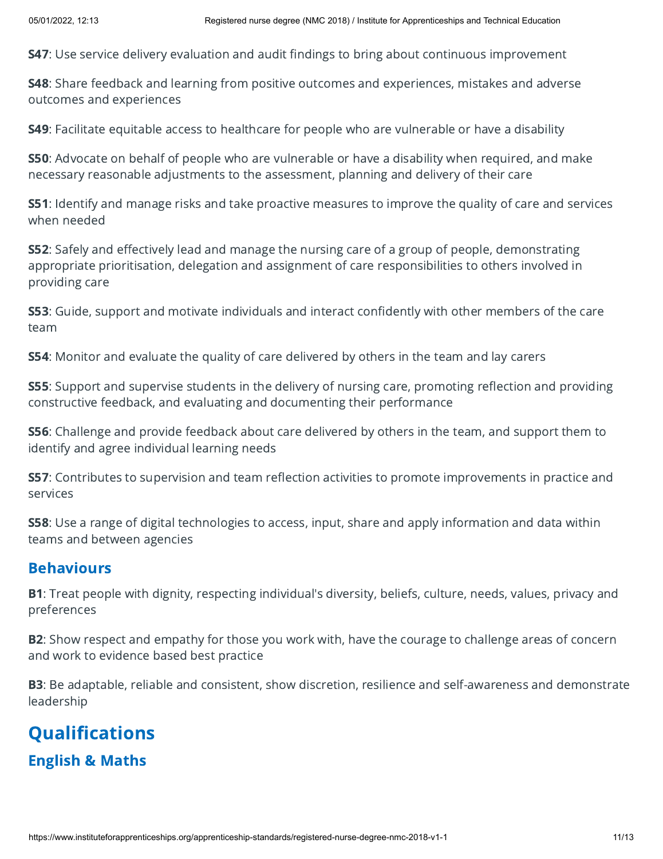S47: Use service delivery evaluation and audit findings to bring about continuous improvement

**S48:** Share feedback and learning from positive outcomes and experiences, mistakes and adverse outcomes and experiences

S49: Facilitate equitable access to healthcare for people who are vulnerable or have a disability

S50: Advocate on behalf of people who are vulnerable or have a disability when required, and make necessary reasonable adjustments to the assessment, planning and delivery of their care

S51: Identify and manage risks and take proactive measures to improve the quality of care and services when needed

S52: Safely and effectively lead and manage the nursing care of a group of people, demonstrating appropriate prioritisation, delegation and assignment of care responsibilities to others involved in providing care

S53: Guide, support and motivate individuals and interact confidently with other members of the care team

S54: Monitor and evaluate the quality of care delivered by others in the team and lay carers

S55: Support and supervise students in the delivery of nursing care, promoting reflection and providing constructive feedback, and evaluating and documenting their performance

**S56**: Challenge and provide feedback about care delivered by others in the team, and support them to identify and agree individual learning needs

S57: Contributes to supervision and team reflection activities to promote improvements in practice and services

S58: Use a range of digital technologies to access, input, share and apply information and data within teams and between agencies

#### **Behaviours**

**B1**: Treat people with dignity, respecting individual's diversity, beliefs, culture, needs, values, privacy and preferences

**B2**: Show respect and empathy for those you work with, have the courage to challenge areas of concern and work to evidence based best practice

**B3**: Be adaptable, reliable and consistent, show discretion, resilience and self-awareness and demonstrate leadership

# **Qualifications** English & Maths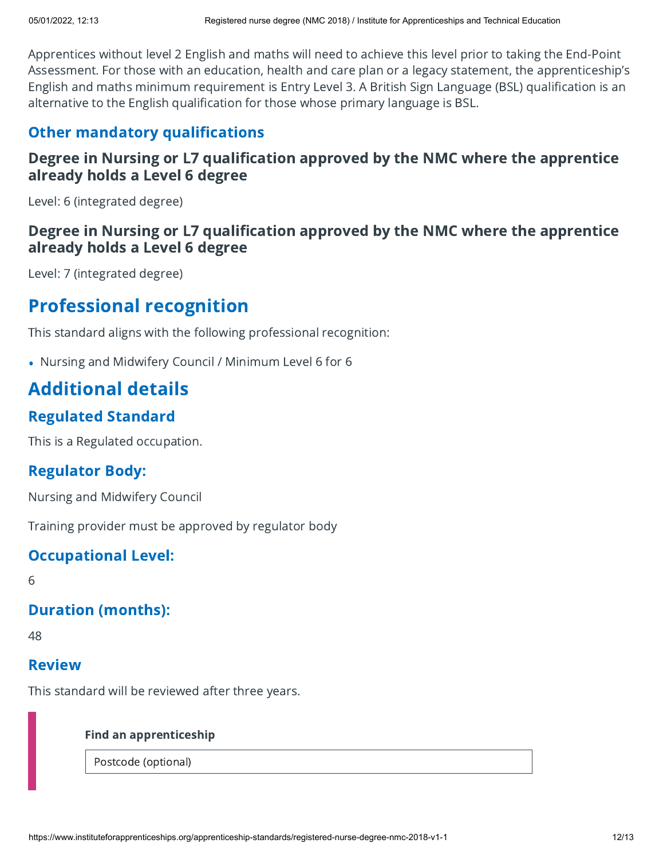Apprentices without level 2 English and maths will need to achieve this level prior to taking the End-Point Assessment. For those with an education, health and care plan or a legacy statement, the apprenticeship's English and maths minimum requirement is Entry Level 3. A British Sign Language (BSL) qualification is an alternative to the English qualification for those whose primary language is BSL.

#### Other mandatory qualifications

#### Degree in Nursing or L7 qualification approved by the NMC where the apprentice already holds a Level 6 degree

Level: 6 (integrated degree)

#### Degree in Nursing or L7 qualification approved by the NMC where the apprentice already holds a Level 6 degree

Level: 7 (integrated degree)

### Professional recognition

This standard aligns with the following professional recognition: •

• Nursing and Midwifery Council / Minimum Level 6 for 6

### Additional details

#### Regulated Standard

This is a Regulated occupation.

#### Regulator Body:

Nursing and Midwifery Council

Training provider must be approved by regulator body

#### Occupational Level:

6

#### Duration (months):

48

#### Review

This standard will be reviewed after three years.

#### Find an apprenticeship

Postcode (optional)